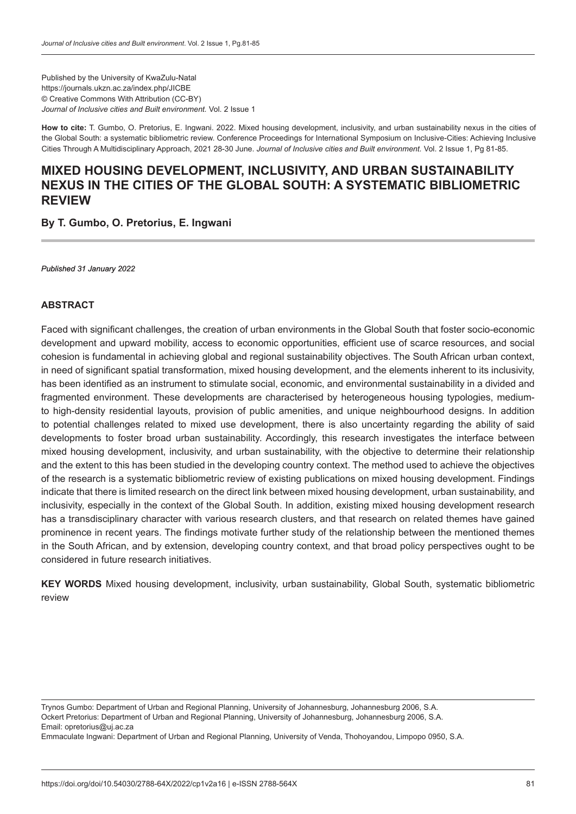Published by the University of KwaZulu-Natal https://journals.ukzn.ac.za/index.php/JICBE © Creative Commons With Attribution (CC-BY) *Journal of Inclusive cities and Built environment.* Vol. 2 Issue 1

**How to cite:** T. Gumbo, O. Pretorius, E. Ingwani. 2022. Mixed housing development, inclusivity, and urban sustainability nexus in the cities of the Global South: a systematic bibliometric review. Conference Proceedings for International Symposium on Inclusive-Cities: Achieving Inclusive Cities Through A Multidisciplinary Approach, 2021 28-30 June. *Journal of Inclusive cities and Built environment.* Vol. 2 Issue 1, Pg 81-85.

## **MIXED HOUSING DEVELOPMENT, INCLUSIVITY, AND URBAN SUSTAINABILITY NEXUS IN THE CITIES OF THE GLOBAL SOUTH: A SYSTEMATIC BIBLIOMETRIC REVIEW**

**By T. Gumbo, O. Pretorius, E. Ingwani**

*Published 31 January 2022*

#### **ABSTRACT**

Faced with significant challenges, the creation of urban environments in the Global South that foster socio-economic development and upward mobility, access to economic opportunities, efficient use of scarce resources, and social cohesion is fundamental in achieving global and regional sustainability objectives. The South African urban context, in need of significant spatial transformation, mixed housing development, and the elements inherent to its inclusivity, has been identified as an instrument to stimulate social, economic, and environmental sustainability in a divided and fragmented environment. These developments are characterised by heterogeneous housing typologies, mediumto high-density residential layouts, provision of public amenities, and unique neighbourhood designs. In addition to potential challenges related to mixed use development, there is also uncertainty regarding the ability of said developments to foster broad urban sustainability. Accordingly, this research investigates the interface between mixed housing development, inclusivity, and urban sustainability, with the objective to determine their relationship and the extent to this has been studied in the developing country context. The method used to achieve the objectives of the research is a systematic bibliometric review of existing publications on mixed housing development. Findings indicate that there is limited research on the direct link between mixed housing development, urban sustainability, and inclusivity, especially in the context of the Global South. In addition, existing mixed housing development research has a transdisciplinary character with various research clusters, and that research on related themes have gained prominence in recent years. The findings motivate further study of the relationship between the mentioned themes in the South African, and by extension, developing country context, and that broad policy perspectives ought to be considered in future research initiatives.

**KEY WORDS** Mixed housing development, inclusivity, urban sustainability, Global South, systematic bibliometric review

Trynos Gumbo: Department of Urban and Regional Planning, University of Johannesburg, Johannesburg 2006, S.A. Ockert Pretorius: Department of Urban and Regional Planning, University of Johannesburg, Johannesburg 2006, S.A. Email: opretorius@uj.ac.za

Emmaculate Ingwani: Department of Urban and Regional Planning, University of Venda, Thohoyandou, Limpopo 0950, S.A.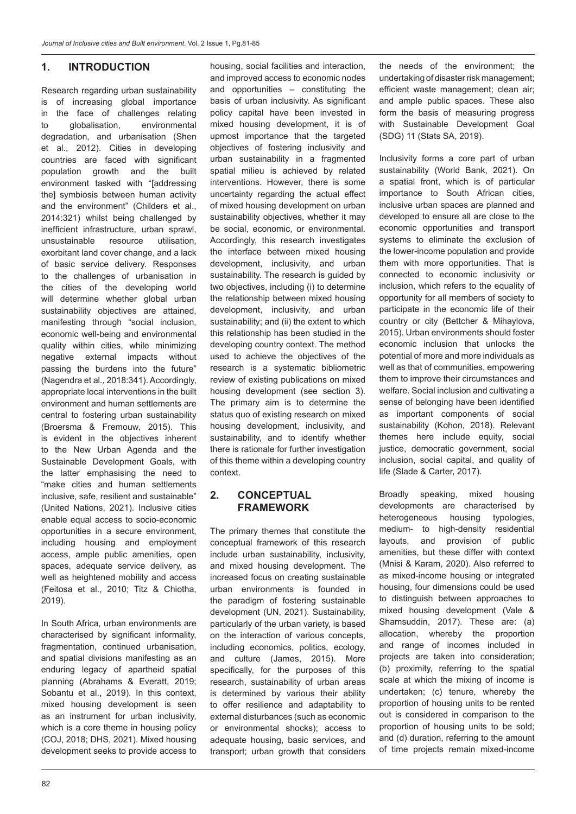#### **1. INTRODUCTION**

Research regarding urban sustainability is of increasing global importance in the face of challenges relating to globalisation, environmental degradation, and urbanisation (Shen et al., 2012). Cities in developing countries are faced with significant population growth and the built environment tasked with "[addressing the] symbiosis between human activity and the environment" (Childers et al., 2014:321) whilst being challenged by inefficient infrastructure, urban sprawl, unsustainable resource utilisation, exorbitant land cover change, and a lack of basic service delivery. Responses to the challenges of urbanisation in the cities of the developing world will determine whether global urban sustainability objectives are attained, manifesting through "social inclusion, economic well-being and environmental quality within cities, while minimizing negative external impacts without passing the burdens into the future" (Nagendra et al., 2018:341). Accordingly, appropriate local interventions in the built environment and human settlements are central to fostering urban sustainability (Broersma & Fremouw, 2015). This is evident in the objectives inherent to the New Urban Agenda and the Sustainable Development Goals, with the latter emphasising the need to "make cities and human settlements inclusive, safe, resilient and sustainable" (United Nations, 2021). Inclusive cities enable equal access to socio-economic opportunities in a secure environment, including housing and employment access, ample public amenities, open spaces, adequate service delivery, as well as heightened mobility and access (Feitosa et al., 2010; Titz & Chiotha, 2019).

In South Africa, urban environments are characterised by significant informality, fragmentation, continued urbanisation, and spatial divisions manifesting as an enduring legacy of apartheid spatial planning (Abrahams & Everatt, 2019; Sobantu et al., 2019). In this context, mixed housing development is seen as an instrument for urban inclusivity, which is a core theme in housing policy (COJ, 2018; DHS, 2021). Mixed housing development seeks to provide access to

and improved access to economic nodes and opportunities – constituting the basis of urban inclusivity. As significant policy capital have been invested in mixed housing development, it is of upmost importance that the targeted objectives of fostering inclusivity and urban sustainability in a fragmented spatial milieu is achieved by related interventions. However, there is some uncertainty regarding the actual effect of mixed housing development on urban sustainability objectives, whether it may be social, economic, or environmental. Accordingly, this research investigates the interface between mixed housing development, inclusivity, and urban sustainability. The research is guided by two objectives, including (i) to determine the relationship between mixed housing development, inclusivity, and urban sustainability; and (ii) the extent to which this relationship has been studied in the developing country context. The method used to achieve the objectives of the research is a systematic bibliometric review of existing publications on mixed housing development (see section 3). The primary aim is to determine the status quo of existing research on mixed housing development, inclusivity, and sustainability, and to identify whether there is rationale for further investigation of this theme within a developing country context. **2. CONCEPTUAL FRAMEWORK** 

housing, social facilities and interaction,

The primary themes that constitute the conceptual framework of this research include urban sustainability, inclusivity, and mixed housing development. The increased focus on creating sustainable urban environments is founded in the paradigm of fostering sustainable development (UN, 2021). Sustainability, particularly of the urban variety, is based on the interaction of various concepts, including economics, politics, ecology, and culture (James, 2015). More specifically, for the purposes of this research, sustainability of urban areas is determined by various their ability to offer resilience and adaptability to external disturbances (such as economic or environmental shocks); access to adequate housing, basic services, and transport; urban growth that considers the needs of the environment; the undertaking of disaster risk management; efficient waste management; clean air; and ample public spaces. These also form the basis of measuring progress with Sustainable Development Goal (SDG) 11 (Stats SA, 2019).

Inclusivity forms a core part of urban sustainability (World Bank, 2021). On a spatial front, which is of particular importance to South African cities, inclusive urban spaces are planned and developed to ensure all are close to the economic opportunities and transport systems to eliminate the exclusion of the lower-income population and provide them with more opportunities. That is connected to economic inclusivity or inclusion, which refers to the equality of opportunity for all members of society to participate in the economic life of their country or city (Bettcher & Mihaylova, 2015). Urban environments should foster economic inclusion that unlocks the potential of more and more individuals as well as that of communities, empowering them to improve their circumstances and welfare. Social inclusion and cultivating a sense of belonging have been identified as important components of social sustainability (Kohon, 2018). Relevant themes here include equity, social justice, democratic government, social inclusion, social capital, and quality of life (Slade & Carter, 2017).

Broadly speaking, mixed housing developments are characterised by heterogeneous housing typologies, medium- to high-density residential layouts, and provision of public amenities, but these differ with context (Mnisi & Karam, 2020). Also referred to as mixed-income housing or integrated housing, four dimensions could be used to distinguish between approaches to mixed housing development (Vale & Shamsuddin, 2017). These are: (a) allocation, whereby the proportion and range of incomes included in projects are taken into consideration; (b) proximity, referring to the spatial scale at which the mixing of income is undertaken; (c) tenure, whereby the proportion of housing units to be rented out is considered in comparison to the proportion of housing units to be sold; and (d) duration, referring to the amount of time projects remain mixed-income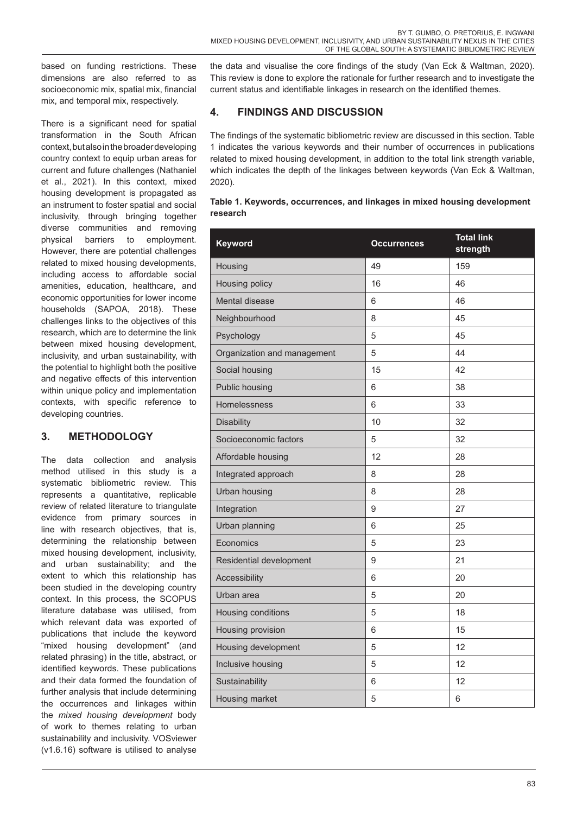based on funding restrictions. These dimensions are also referred to as socioeconomic mix, spatial mix, financial mix, and temporal mix, respectively.

There is a significant need for spatial transformation in the South African context, but also in the broader developing country context to equip urban areas for current and future challenges (Nathaniel et al., 2021). In this context, mixed housing development is propagated as an instrument to foster spatial and social inclusivity, through bringing together diverse communities and removing physical barriers to employment. However, there are potential challenges related to mixed housing developments, including access to affordable social amenities, education, healthcare, and economic opportunities for lower income households (SAPOA, 2018). These challenges links to the objectives of this research, which are to determine the link between mixed housing development, inclusivity, and urban sustainability, with the potential to highlight both the positive and negative effects of this intervention within unique policy and implementation contexts, with specific reference to developing countries.

## **3. METHODOLOGY**

The data collection and analysis method utilised in this study is a systematic bibliometric review. This represents a quantitative, replicable review of related literature to triangulate evidence from primary sources in line with research objectives, that is, determining the relationship between mixed housing development, inclusivity, and urban sustainability; and the extent to which this relationship has been studied in the developing country context. In this process, the SCOPUS literature database was utilised, from which relevant data was exported of publications that include the keyword "mixed housing development" (and related phrasing) in the title, abstract, or identified keywords. These publications and their data formed the foundation of further analysis that include determining the occurrences and linkages within the *mixed housing development* body of work to themes relating to urban sustainability and inclusivity. VOSviewer (v1.6.16) software is utilised to analyse

the data and visualise the core findings of the study (Van Eck & Waltman, 2020). This review is done to explore the rationale for further research and to investigate the current status and identifiable linkages in research on the identified themes.

## **4. FINDINGS AND DISCUSSION**

The findings of the systematic bibliometric review are discussed in this section. Table 1 indicates the various keywords and their number of occurrences in publications related to mixed housing development, in addition to the total link strength variable, which indicates the depth of the linkages between keywords (Van Eck & Waltman, 2020).

#### **Table 1. Keywords, occurrences, and linkages in mixed housing development research**

| Keyword                     | <b>Occurrences</b> | <b>Total link</b><br>strength |
|-----------------------------|--------------------|-------------------------------|
| Housing                     | 49                 | 159                           |
| Housing policy              | 16                 | 46                            |
| Mental disease              | 6                  | 46                            |
| Neighbourhood               | 8                  | 45                            |
| Psychology                  | 5                  | 45                            |
| Organization and management | 5                  | 44                            |
| Social housing              | 15                 | 42                            |
| Public housing              | 6                  | 38                            |
| Homelessness                | 6                  | 33                            |
| <b>Disability</b>           | 10                 | 32                            |
| Socioeconomic factors       | 5                  | 32                            |
| Affordable housing          | 12                 | 28                            |
| Integrated approach         | 8                  | 28                            |
| <b>Urban housing</b>        | 8                  | 28                            |
| Integration                 | 9                  | 27                            |
| Urban planning              | 6                  | 25                            |
| Economics                   | 5                  | 23                            |
| Residential development     | 9                  | 21                            |
| Accessibility               | 6                  | 20                            |
| Urban area                  | 5                  | 20                            |
| Housing conditions          | 5                  | 18                            |
| <b>Housing provision</b>    | 6                  | 15                            |
| Housing development         | 5                  | 12                            |
| Inclusive housing           | 5                  | 12                            |
| Sustainability              | 6                  | 12                            |
| Housing market              | 5                  | 6                             |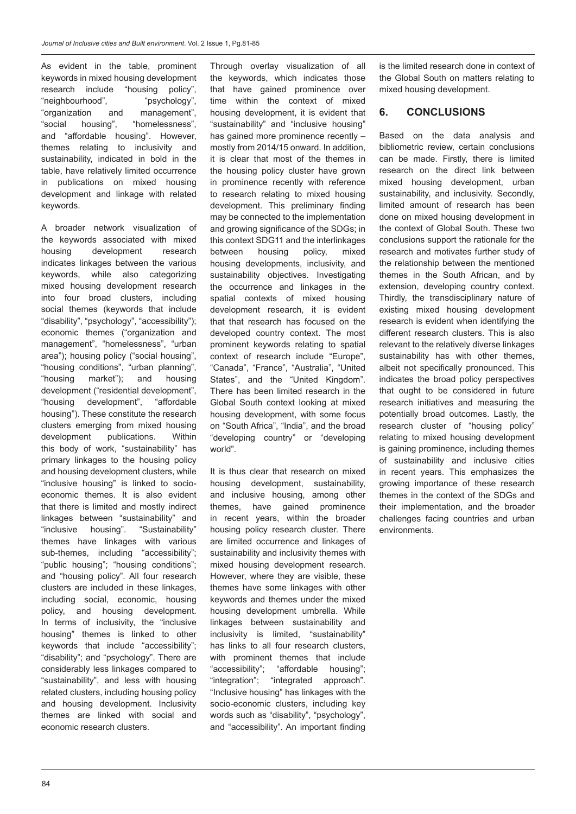As evident in the table, prominent keywords in mixed housing development research include "housing policy", "neighbourhood", "psychology", "organization and management", "social housing", "homelessness", and "affordable housing". However, themes relating to inclusivity and sustainability, indicated in bold in the table, have relatively limited occurrence in publications on mixed housing development and linkage with related keywords.

A broader network visualization of the keywords associated with mixed housing development research indicates linkages between the various keywords, while also categorizing mixed housing development research into four broad clusters, including social themes (keywords that include "disability", "psychology", "accessibility"); economic themes ("organization and management", "homelessness", "urban area"); housing policy ("social housing", "housing conditions", "urban planning", "housing market"); and housing development ("residential development", "housing development", "affordable housing"). These constitute the research clusters emerging from mixed housing development publications. Within this body of work, "sustainability" has primary linkages to the housing policy and housing development clusters, while "inclusive housing" is linked to socioeconomic themes. It is also evident that there is limited and mostly indirect linkages between "sustainability" and "inclusive housing". "Sustainability" themes have linkages with various sub-themes, including "accessibility"; "public housing"; "housing conditions"; and "housing policy". All four research clusters are included in these linkages, including social, economic, housing policy, and housing development. In terms of inclusivity, the "inclusive housing" themes is linked to other keywords that include "accessibility"; "disability"; and "psychology". There are considerably less linkages compared to "sustainability", and less with housing related clusters, including housing policy and housing development. Inclusivity themes are linked with social and economic research clusters.

Through overlay visualization of all the keywords, which indicates those that have gained prominence over time within the context of mixed housing development, it is evident that "sustainability" and "inclusive housing" has gained more prominence recently – mostly from 2014/15 onward. In addition, it is clear that most of the themes in the housing policy cluster have grown in prominence recently with reference to research relating to mixed housing development. This preliminary finding may be connected to the implementation and growing significance of the SDGs; in this context SDG11 and the interlinkages between housing policy, mixed housing developments, inclusivity, and sustainability objectives. Investigating the occurrence and linkages in the spatial contexts of mixed housing development research, it is evident that that research has focused on the developed country context. The most prominent keywords relating to spatial context of research include "Europe", "Canada", "France", "Australia", "United States", and the "United Kingdom". There has been limited research in the Global South context looking at mixed housing development, with some focus on "South Africa", "India", and the broad "developing country" or "developing world".

It is thus clear that research on mixed housing development, sustainability, and inclusive housing, among other themes, have gained prominence in recent years, within the broader housing policy research cluster. There are limited occurrence and linkages of sustainability and inclusivity themes with mixed housing development research. However, where they are visible, these themes have some linkages with other keywords and themes under the mixed housing development umbrella. While linkages between sustainability and inclusivity is limited, "sustainability" has links to all four research clusters, with prominent themes that include<br>"accessibility": "affordable housing"; "affordable housing"; "integration"; "integrated approach". "Inclusive housing" has linkages with the socio-economic clusters, including key words such as "disability", "psychology", and "accessibility". An important finding

is the limited research done in context of the Global South on matters relating to mixed housing development.

### **6. CONCLUSIONS**

Based on the data analysis and bibliometric review, certain conclusions can be made. Firstly, there is limited research on the direct link between mixed housing development, urban sustainability, and inclusivity. Secondly, limited amount of research has been done on mixed housing development in the context of Global South. These two conclusions support the rationale for the research and motivates further study of the relationship between the mentioned themes in the South African, and by extension, developing country context. Thirdly, the transdisciplinary nature of existing mixed housing development research is evident when identifying the different research clusters. This is also relevant to the relatively diverse linkages sustainability has with other themes. albeit not specifically pronounced. This indicates the broad policy perspectives that ought to be considered in future research initiatives and measuring the potentially broad outcomes. Lastly, the research cluster of "housing policy" relating to mixed housing development is gaining prominence, including themes of sustainability and inclusive cities in recent years. This emphasizes the growing importance of these research themes in the context of the SDGs and their implementation, and the broader challenges facing countries and urban environments.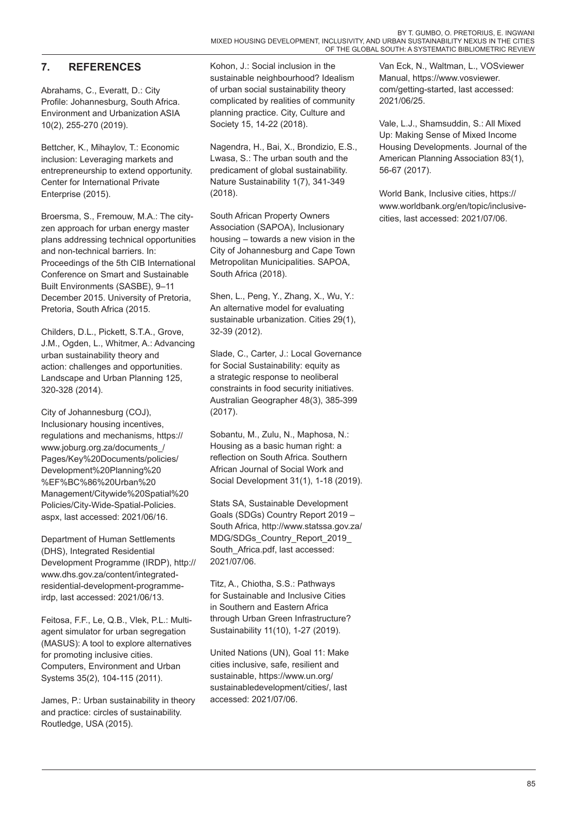## **7. REFERENCES**

Abrahams, C., Everatt, D.: City Profile: Johannesburg, South Africa. Environment and Urbanization ASIA 10(2), 255-270 (2019).

Bettcher, K., Mihaylov, T.: Economic inclusion: Leveraging markets and entrepreneurship to extend opportunity. Center for International Private Enterprise (2015).

Broersma, S., Fremouw, M.A.: The cityzen approach for urban energy master plans addressing technical opportunities and non-technical barriers. In: Proceedings of the 5th CIB International Conference on Smart and Sustainable Built Environments (SASBE), 9–11 December 2015. University of Pretoria, Pretoria, South Africa (2015.

Childers, D.L., Pickett, S.T.A., Grove, J.M., Ogden, L., Whitmer, A.: Advancing urban sustainability theory and action: challenges and opportunities. Landscape and Urban Planning 125, 320-328 (2014).

City of Johannesburg (COJ), Inclusionary housing incentives, regulations and mechanisms, https:// www.joburg.org.za/documents\_/ Pages/Key%20Documents/policies/ Development%20Planning%20 %EF%BC%86%20Urban%20 Management/Citywide%20Spatial%20 Policies/City-Wide-Spatial-Policies. aspx, last accessed: 2021/06/16.

Department of Human Settlements (DHS), Integrated Residential Development Programme (IRDP), http:// www.dhs.gov.za/content/integratedresidential-development-programmeirdp, last accessed: 2021/06/13.

Feitosa, F.F., Le, Q.B., Vlek, P.L.: Multiagent simulator for urban segregation (MASUS): A tool to explore alternatives for promoting inclusive cities. Computers, Environment and Urban Systems 35(2), 104-115 (2011).

James, P.: Urban sustainability in theory and practice: circles of sustainability. Routledge, USA (2015).

Kohon, J.: Social inclusion in the sustainable neighbourhood? Idealism of urban social sustainability theory complicated by realities of community planning practice. City, Culture and Society 15, 14-22 (2018).

Nagendra, H., Bai, X., Brondizio, E.S., Lwasa, S.: The urban south and the predicament of global sustainability. Nature Sustainability 1(7), 341-349 (2018).

South African Property Owners Association (SAPOA), Inclusionary housing – towards a new vision in the City of Johannesburg and Cape Town Metropolitan Municipalities. SAPOA, South Africa (2018).

Shen, L., Peng, Y., Zhang, X., Wu, Y.: An alternative model for evaluating sustainable urbanization. Cities 29(1), 32-39 (2012).

Slade, C., Carter, J.: Local Governance for Social Sustainability: equity as a strategic response to neoliberal constraints in food security initiatives. Australian Geographer 48(3), 385-399 (2017).

Sobantu, M., Zulu, N., Maphosa, N.: Housing as a basic human right: a reflection on South Africa. Southern African Journal of Social Work and Social Development 31(1), 1-18 (2019).

Stats SA, Sustainable Development Goals (SDGs) Country Report 2019 – South Africa, http://www.statssa.gov.za/ MDG/SDGs\_Country\_Report\_2019\_ South\_Africa.pdf, last accessed: 2021/07/06.

Titz, A., Chiotha, S.S.: Pathways for Sustainable and Inclusive Cities in Southern and Eastern Africa through Urban Green Infrastructure? Sustainability 11(10), 1-27 (2019).

United Nations (UN), Goal 11: Make cities inclusive, safe, resilient and sustainable, https://www.un.org/ sustainabledevelopment/cities/, last accessed: 2021/07/06.

Van Eck, N., Waltman, L., VOSviewer Manual, https://www.vosviewer. com/getting-started, last accessed: 2021/06/25.

Vale, L.J., Shamsuddin, S.: All Mixed Up: Making Sense of Mixed Income Housing Developments. Journal of the American Planning Association 83(1), 56-67 (2017).

World Bank, Inclusive cities, https:// www.worldbank.org/en/topic/inclusivecities, last accessed: 2021/07/06.